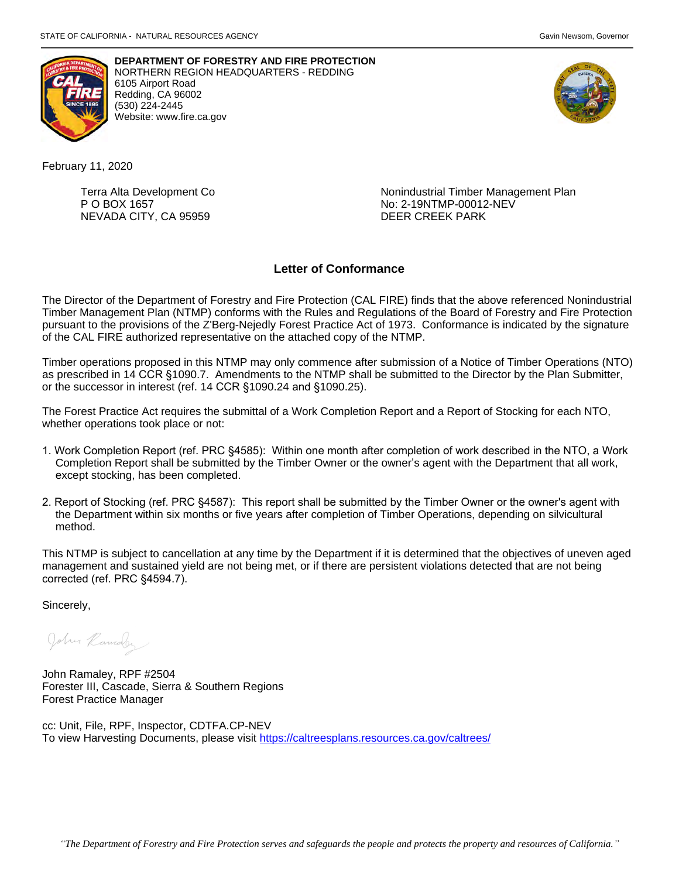



**DEPARTMENT OF FORESTRY AND FIRE PROTECTION**  NORTHERN REGION HEADQUARTERS - REDDING 6105 Airport Road Redding, CA 96002 (530) 224-2445 Website: <www.fire.ca.gov>



February 11, 2020

NEVADA CITY, CA 95959 DEER CREEK PARK

Terra Alta Development Co **Nonindustrial Timber Management Plan** P O BOX 1657 No: 2-19NTMP-00012-NEV

# **Letter of Conformance**

The Director of the Department of Forestry and Fire Protection (CAL FIRE) finds that the above referenced Nonindustrial Timber Management Plan (NTMP) conforms with the Rules and Regulations of the Board of Forestry and Fire Protection pursuant to the provisions of the Z'Berg-Nejedly Forest Practice Act of 1973. Conformance is indicated by the signature of the CAL FIRE authorized representative on the attached copy of the NTMP.

Timber operations proposed in this NTMP may only commence after submission of a Notice of Timber Operations (NTO) as prescribed in 14 CCR §1090.7. Amendments to the NTMP shall be submitted to the Director by the Plan Submitter, or the successor in interest (ref. 14 CCR §1090.24 and §1090.25).

The Forest Practice Act requires the submittal of a Work Completion Report and a Report of Stocking for each NTO, whether operations took place or not:

- 1. Work Completion Report (ref. PRC §4585): Within one month after completion of work described in the NTO, a Work Completion Report shall be submitted by the Timber Owner or the owner's agent with the Department that all work, except stocking, has been completed.
- 2. Report of Stocking (ref. PRC §4587): This report shall be submitted by the Timber Owner or the owner's agent with the Department within six months or five years after completion of Timber Operations, depending on silvicultural method.

This NTMP is subject to cancellation at any time by the Department if it is determined that the objectives of uneven aged management and sustained yield are not being met, or if there are persistent violations detected that are not being corrected (ref. PRC §4594.7).

Sincerely,

John Ramaler

John Ramaley, RPF #2504 Forester III, Cascade, Sierra & Southern Regions Forest Practice Manager

cc: Unit, File, RPF, Inspector, CDTFA.CP-NEV To view Harvesting Documents, please visit<https://caltreesplans.resources.ca.gov/caltrees/>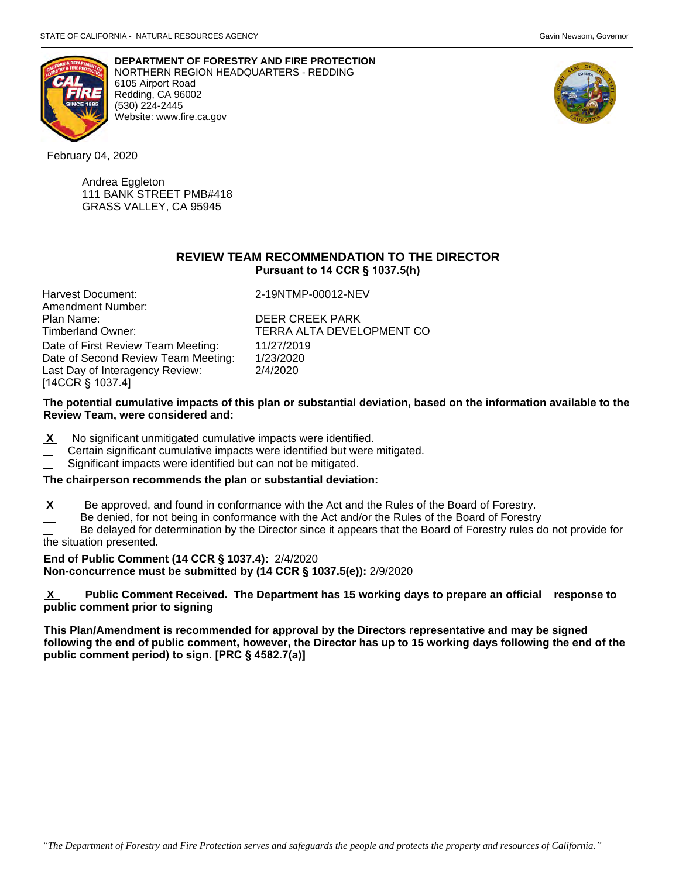

**DEPARTMENT OF FORESTRY AND FIRE PROTECTION**  NORTHERN REGION HEADQUARTERS - REDDING 6105 Airport Road Redding, CA 96002 (530) 224-2445 Website: <www.fire.ca.gov>



February 04, 2020

Andrea Eggleton 111 BANK STREET PMB#418 GRASS VALLEY, CA 95945

# **REVIEW TEAM RECOMMENDATION TO THE DIRECTOR Pursuant to 14 CCR § 1037.5(h)**

| Harvest Document:                   | 2-19NTMP-00012-NEV        |
|-------------------------------------|---------------------------|
| Amendment Number:                   |                           |
| Plan Name:                          | <b>DEER CREEK PARK</b>    |
| Timberland Owner:                   | TERRA ALTA DEVELOPMENT CO |
| Date of First Review Team Meeting:  | 11/27/2019                |
| Date of Second Review Team Meeting: | 1/23/2020                 |
| Last Day of Interagency Review:     | 2/4/2020                  |
| [14CCR § 1037.4]                    |                           |

# **The potential cumulative impacts of this plan or substantial deviation, based on the information available to the Review Team, were considered and:**

- **X** No significant unmitigated cumulative impacts were identified.
- Certain significant cumulative impacts were identified but were mitigated.
- Significant impacts were identified but can not be mitigated.

# **The chairperson recommends the plan or substantial deviation:**

- Be approved, and found in conformance with the Act and the Rules of the Board of Forestry.
- Be denied, for not being in conformance with the Act and/or the Rules of the Board of Forestry

 Be delayed for determination by the Director since it appears that the Board of Forestry rules do not provide for the situation presented.

# **End of Public Comment (14 CCR § 1037.4):** 2/4/2020

**Non-concurrence must be submitted by (14 CCR § 1037.5(e)):** 2/9/2020

 $\mathbf{X}$  **X Public Comment Received. The Department has 15 working days to prepare an official response to public comment prior to signing** 

**This Plan/Amendment is recommended for approval by the Directors representative and may be signed following the end of public comment, however, the Director has up to 15 working days following the end of the public comment period) to sign. [PRC § 4582.7(a)]**